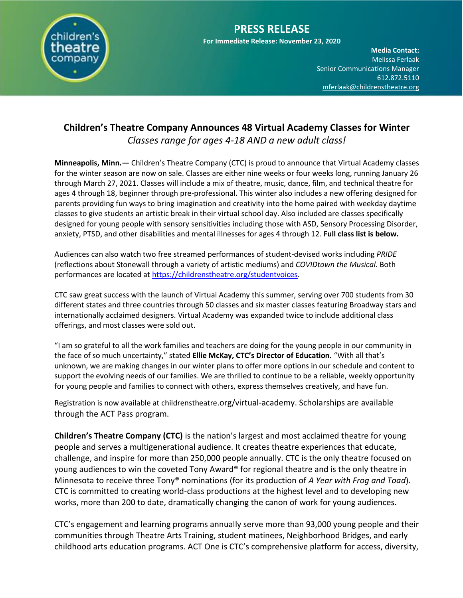

**Media Contact:**  Melissa Ferlaak Senior Communications Manager 612.872.5110 [mferlaak@childrenstheatre.org](mailto:mferlaak@childrenstheatre.org)

## **Children's Theatre Company Announces 48 Virtual Academy Classes for Winter** *Classes range for ages 4-18 AND a new adult class!*

**Minneapolis, Minn.—** Children's Theatre Company (CTC) is proud to announce that Virtual Academy classes for the winter season are now on sale. Classes are either nine weeks or four weeks long, running January 26 through March 27, 2021. Classes will include a mix of theatre, music, dance, film, and technical theatre for ages 4 through 18, beginner through pre-professional. This winter also includes a new offering designed for parents providing fun ways to bring imagination and creativity into the home paired with weekday daytime classes to give students an artistic break in their virtual school day. Also included are classes specifically designed for young people with sensory sensitivities including those with ASD, Sensory Processing Disorder, anxiety, PTSD, and other disabilities and mental illnesses for ages 4 through 12. **Full class list is below.**

Audiences can also watch two free streamed performances of student-devised works including *PRIDE* (reflections about Stonewall through a variety of artistic mediums) and *COVIDtown the Musical*. Both performances are located at [https://childrenstheatre.org/studentvoices.](https://childrenstheatre.org/studentvoices)

CTC saw great success with the launch of Virtual Academy this summer, serving over 700 students from 30 different states and three countries through 50 classes and six master classes featuring Broadway stars and internationally acclaimed designers. Virtual Academy was expanded twice to include additional class offerings, and most classes were sold out.

"I am so grateful to all the work families and teachers are doing for the young people in our community in the face of so much uncertainty," stated **Ellie McKay, CTC's Director of Education.** "With all that's unknown, we are making changes in our winter plans to offer more options in our schedule and content to support the evolving needs of our families. We are thrilled to continue to be a reliable, weekly opportunity for young people and families to connect with others, express themselves creatively, and have fun.

Registration is now available at childrenstheatre.org/virtual-academy. Scholarships are available through the ACT Pass program.

**Children's Theatre Company (CTC)** is the nation's largest and most acclaimed theatre for young people and serves a multigenerational audience. It creates theatre experiences that educate, challenge, and inspire for more than 250,000 people annually. CTC is the only theatre focused on young audiences to win the coveted Tony Award® for regional theatre and is the only theatre in Minnesota to receive three Tony® nominations (for its production of *A Year with Frog and Toad*). CTC is committed to creating world-class productions at the highest level and to developing new works, more than 200 to date, dramatically changing the canon of work for young audiences.

CTC's engagement and learning programs annually serve more than 93,000 young people and their communities through Theatre Arts Training, student matinees, Neighborhood Bridges, and early childhood arts education programs. ACT One is CTC's comprehensive platform for access, diversity,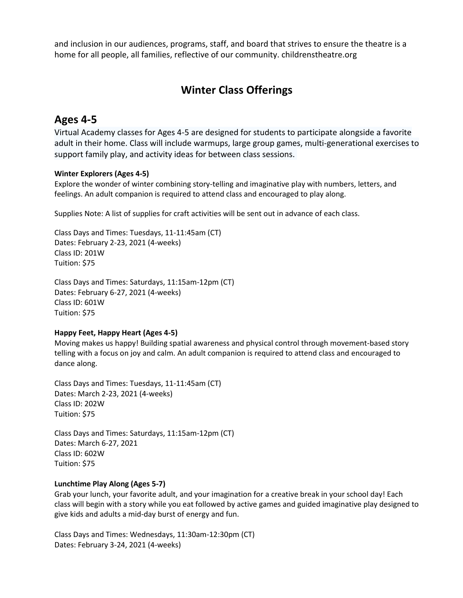**Media Contact:**  and inclusion in our audiences, programs, staff, and board that strives to ensure the theatre is a Senior Communications Manager home for all people, all families, reflective of our community. childrenstheatre.org

# **Winter Class Offerings**

# **Ages 4-5**

Virtual Academy classes for Ages 4-5 are designed for students to participate alongside a favorite adult in their home. Class will include warmups, large group games, multi-generational exercises to support family play, and activity ideas for between class sessions.

## **Winter Explorers (Ages 4-5)**

Explore the wonder of winter combining story-telling and imaginative play with numbers, letters, and feelings. An adult companion is required to attend class and encouraged to play along.

Supplies Note: A list of supplies for craft activities will be sent out in advance of each class.

Class Days and Times: Tuesdays, 11-11:45am (CT) Dates: February 2-23, 2021 (4-weeks) Class ID: 201W Tuition: \$75

Class Days and Times: Saturdays, 11:15am-12pm (CT) Dates: February 6-27, 2021 (4-weeks) Class ID: 601W Tuition: \$75

## **Happy Feet, Happy Heart (Ages 4-5)**

Moving makes us happy! Building spatial awareness and physical control through movement-based story telling with a focus on joy and calm. An adult companion is required to attend class and encouraged to dance along.

Class Days and Times: Tuesdays, 11-11:45am (CT) Dates: March 2-23, 2021 (4-weeks) Class ID: 202W Tuition: \$75

Class Days and Times: Saturdays, 11:15am-12pm (CT) Dates: March 6-27, 2021 Class ID: 602W Tuition: \$75

## **Lunchtime Play Along (Ages 5-7)**

Grab your lunch, your favorite adult, and your imagination for a creative break in your school day! Each class will begin with a story while you eat followed by active games and guided imaginative play designed to give kids and adults a mid-day burst of energy and fun.

Class Days and Times: Wednesdays, 11:30am-12:30pm (CT) Dates: February 3-24, 2021 (4-weeks)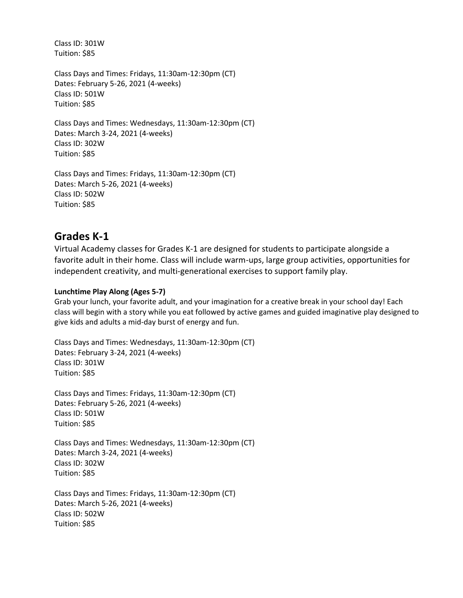Class ID: 301W Tuition: \$85

Class Days and Times: Fridays, 11:30am-12:30pm (CT) Dates: February 5-26, 2021 (4-weeks) Class ID: 501W Tuition: \$85

Class Days and Times: Wednesdays, 11:30am-12:30pm (CT) Dates: March 3-24, 2021 (4-weeks) Class ID: 302W Tuition: \$85

Class Days and Times: Fridays, 11:30am-12:30pm (CT) Dates: March 5-26, 2021 (4-weeks) Class ID: 502W Tuition: \$85

# **Grades K-1**

Virtual Academy classes for Grades K-1 are designed for students to participate alongside a favorite adult in their home. Class will include warm-ups, large group activities, opportunities for independent creativity, and multi-generational exercises to support family play.

## **Lunchtime Play Along (Ages 5-7)**

Grab your lunch, your favorite adult, and your imagination for a creative break in your school day! Each class will begin with a story while you eat followed by active games and guided imaginative play designed to give kids and adults a mid-day burst of energy and fun.

Class Days and Times: Wednesdays, 11:30am-12:30pm (CT) Dates: February 3-24, 2021 (4-weeks) Class ID: 301W Tuition: \$85

Class Days and Times: Fridays, 11:30am-12:30pm (CT) Dates: February 5-26, 2021 (4-weeks) Class ID: 501W Tuition: \$85

Class Days and Times: Wednesdays, 11:30am-12:30pm (CT) Dates: March 3-24, 2021 (4-weeks) Class ID: 302W Tuition: \$85

Class Days and Times: Fridays, 11:30am-12:30pm (CT) Dates: March 5-26, 2021 (4-weeks) Class ID: 502W Tuition: \$85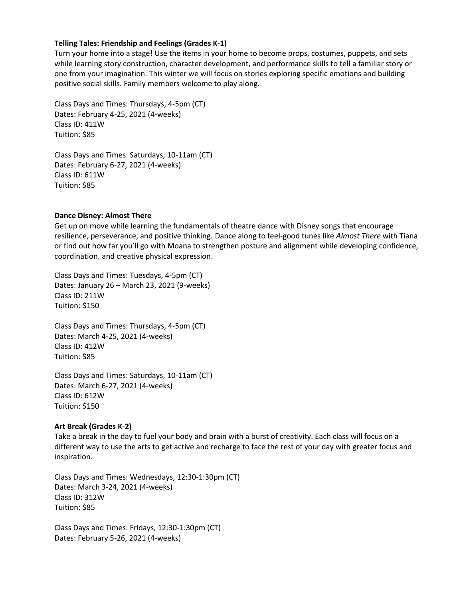## **Telling Tales: Friendship and Feelings (Grades K-1)**

Turn your home into a stage! Use the items in your home to become props, costumes, puppets, and sets while learning story construction, character development, and performance skills to tell a familiar story or one from your imagination. This winter we will focus on stories exploring specific emotions and building positive social skills. Family members welcome to play along.

Class Days and Times: Thursdays, 4-5pm (CT) Dates: February 4-25, 2021 (4-weeks) Class ID: 411W Tuition: \$85

Class Days and Times: Saturdays, 10-11am (CT) Dates: February 6-27, 2021 (4-weeks) Class ID: 611W Tuition: \$85

#### **Dance Disney: Almost There**

Get up on move while learning the fundamentals of theatre dance with Disney songs that encourage resilience, perseverance, and positive thinking. Dance along to feel-good tunes like *Almost There* with Tiana or find out how far you'll go with Moana to strengthen posture and alignment while developing confidence, coordination, and creative physical expression.

Class Days and Times: Tuesdays, 4-5pm (CT) Dates: January 26 – March 23, 2021 (9-weeks) Class ID: 211W Tuition: \$150

Class Days and Times: Thursdays, 4-5pm (CT) Dates: March 4-25, 2021 (4-weeks) Class ID: 412W Tuition: \$85

Class Days and Times: Saturdays, 10-11am (CT) Dates: March 6-27, 2021 (4-weeks) Class ID: 612W Tuition: \$150

#### **Art Break (Grades K-2)**

Take a break in the day to fuel your body and brain with a burst of creativity. Each class will focus on a different way to use the arts to get active and recharge to face the rest of your day with greater focus and inspiration.

Class Days and Times: Wednesdays, 12:30-1:30pm (CT) Dates: March 3-24, 2021 (4-weeks) Class ID: 312W Tuition: \$85

Class Days and Times: Fridays, 12:30-1:30pm (CT) Dates: February 5-26, 2021 (4-weeks)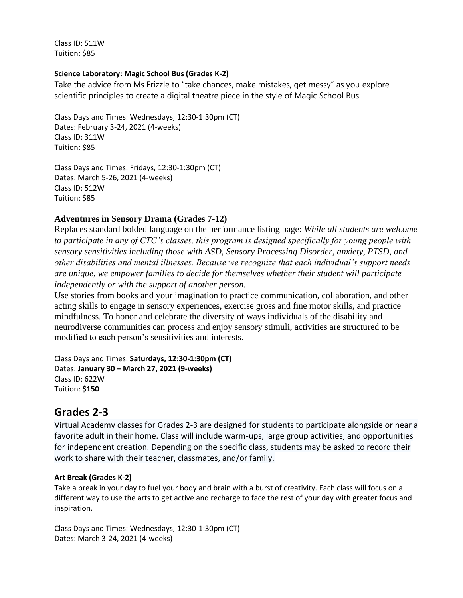Class ID: 511W Tuition: \$85

## **Science Laboratory: Magic School Bus (Grades K-2)**

Take the advice from Ms Frizzle to "take chances, make mistakes, get messy" as you explore scientific principles to create a digital theatre piece in the style of Magic School Bus.

Class Days and Times: Wednesdays, 12:30-1:30pm (CT) Dates: February 3-24, 2021 (4-weeks) Class ID: 311W Tuition: \$85

Class Days and Times: Fridays, 12:30-1:30pm (CT) Dates: March 5-26, 2021 (4-weeks) Class ID: 512W Tuition: \$85

## **Adventures in Sensory Drama (Grades 7-12)**

Replaces standard bolded language on the performance listing page: *While all students are welcome to participate in any of CTC's classes, this program is designed specifically for young people with sensory sensitivities including those with ASD, Sensory Processing Disorder, anxiety, PTSD, and other disabilities and mental illnesses. Because we recognize that each individual's support needs are unique, we empower families to decide for themselves whether their student will participate independently or with the support of another person.*

Use stories from books and your imagination to practice communication, collaboration, and other acting skills to engage in sensory experiences, exercise gross and fine motor skills, and practice mindfulness. To honor and celebrate the diversity of ways individuals of the disability and neurodiverse communities can process and enjoy sensory stimuli, activities are structured to be modified to each person's sensitivities and interests.

Class Days and Times: **Saturdays, 12:30-1:30pm (CT)** Dates: **January 30 – March 27, 2021 (9-weeks)** Class ID: 622W Tuition: **\$150**

# **Grades 2-3**

Virtual Academy classes for Grades 2-3 are designed for students to participate alongside or near a favorite adult in their home. Class will include warm-ups, large group activities, and opportunities for independent creation. Depending on the specific class, students may be asked to record their work to share with their teacher, classmates, and/or family.

## **Art Break (Grades K-2)**

Take a break in your day to fuel your body and brain with a burst of creativity. Each class will focus on a different way to use the arts to get active and recharge to face the rest of your day with greater focus and inspiration.

Class Days and Times: Wednesdays, 12:30-1:30pm (CT) Dates: March 3-24, 2021 (4-weeks)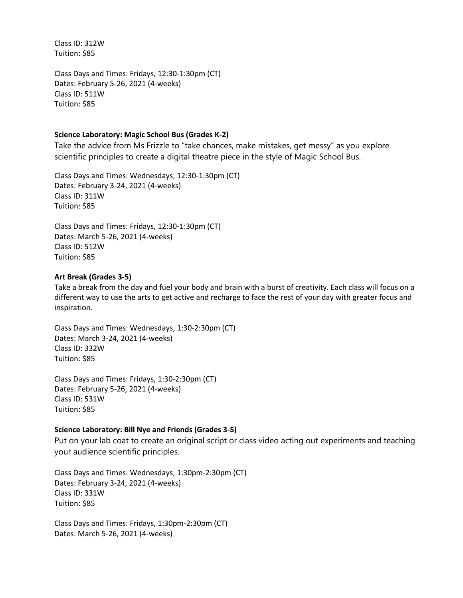Class ID: 312W Tuition: \$85

Class Days and Times: Fridays, 12:30-1:30pm (CT) Dates: February 5-26, 2021 (4-weeks) Class ID: 511W Tuition: \$85

## **Science Laboratory: Magic School Bus (Grades K-2)**

Take the advice from Ms Frizzle to "take chances, make mistakes, get messy" as you explore scientific principles to create a digital theatre piece in the style of Magic School Bus.

Class Days and Times: Wednesdays, 12:30-1:30pm (CT) Dates: February 3-24, 2021 (4-weeks) Class ID: 311W Tuition: \$85

Class Days and Times: Fridays, 12:30-1:30pm (CT) Dates: March 5-26, 2021 (4-weeks) Class ID: 512W Tuition: \$85

## **Art Break (Grades 3-5)**

Take a break from the day and fuel your body and brain with a burst of creativity. Each class will focus on a different way to use the arts to get active and recharge to face the rest of your day with greater focus and inspiration.

Class Days and Times: Wednesdays, 1:30-2:30pm (CT) Dates: March 3-24, 2021 (4-weeks) Class ID: 332W Tuition: \$85

Class Days and Times: Fridays, 1:30-2:30pm (CT) Dates: February 5-26, 2021 (4-weeks) Class ID: 531W Tuition: \$85

## **Science Laboratory: Bill Nye and Friends (Grades 3-5)**

Put on your lab coat to create an original script or class video acting out experiments and teaching your audience scientific principles.

Class Days and Times: Wednesdays, 1:30pm-2:30pm (CT) Dates: February 3-24, 2021 (4-weeks) Class ID: 331W Tuition: \$85

Class Days and Times: Fridays, 1:30pm-2:30pm (CT) Dates: March 5-26, 2021 (4-weeks)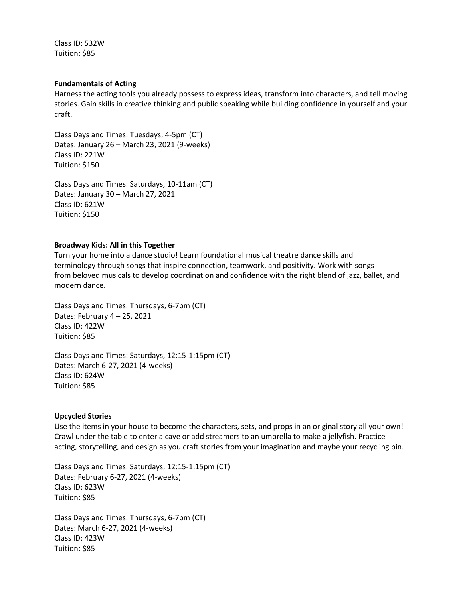Class ID: 532W Tuition: \$85

#### **Fundamentals of Acting**

Harness the acting tools you already possess to express ideas, transform into characters, and tell moving stories. Gain skills in creative thinking and public speaking while building confidence in yourself and your craft.

Class Days and Times: Tuesdays, 4-5pm (CT) Dates: January 26 – March 23, 2021 (9-weeks) Class ID: 221W Tuition: \$150

Class Days and Times: Saturdays, 10-11am (CT) Dates: January 30 – March 27, 2021 Class ID: 621W Tuition: \$150

#### **Broadway Kids: All in this Together**

Turn your home into a dance studio! Learn foundational musical theatre dance skills and terminology through songs that inspire connection, teamwork, and positivity. Work with songs from beloved musicals to develop coordination and confidence with the right blend of jazz, ballet, and modern dance.

Class Days and Times: Thursdays, 6-7pm (CT) Dates: February 4 – 25, 2021 Class ID: 422W Tuition: \$85

Class Days and Times: Saturdays, 12:15-1:15pm (CT) Dates: March 6-27, 2021 (4-weeks) Class ID: 624W Tuition: \$85

#### **Upcycled Stories**

Use the items in your house to become the characters, sets, and props in an original story all your own! Crawl under the table to enter a cave or add streamers to an umbrella to make a jellyfish. Practice acting, storytelling, and design as you craft stories from your imagination and maybe your recycling bin.

Class Days and Times: Saturdays, 12:15-1:15pm (CT) Dates: February 6-27, 2021 (4-weeks) Class ID: 623W Tuition: \$85

Class Days and Times: Thursdays, 6-7pm (CT) Dates: March 6-27, 2021 (4-weeks) Class ID: 423W Tuition: \$85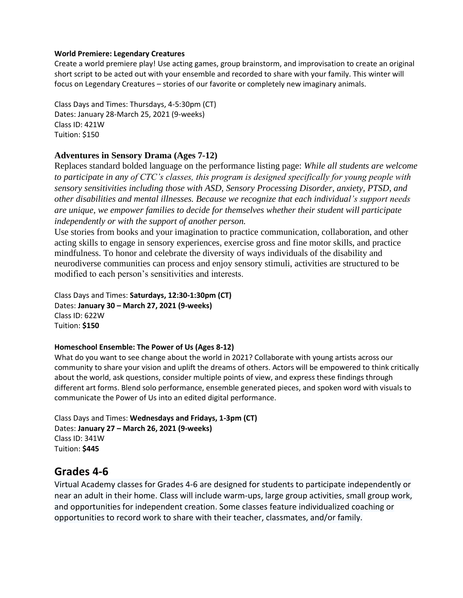## **World Premiere: Legendary Creatures**

Create a world premiere play! Use acting games, group brainstorm, and improvisation to create an original short script to be acted out with your ensemble and recorded to share with your family. This winter will focus on Legendary Creatures – stories of our favorite or completely new imaginary animals.

Class Days and Times: Thursdays, 4-5:30pm (CT) Dates: January 28-March 25, 2021 (9-weeks) Class ID: 421W Tuition: \$150

## **Adventures in Sensory Drama (Ages 7-12)**

Replaces standard bolded language on the performance listing page: *While all students are welcome to participate in any of CTC's classes, this program is designed specifically for young people with sensory sensitivities including those with ASD, Sensory Processing Disorder, anxiety, PTSD, and other disabilities and mental illnesses. Because we recognize that each individual's support needs are unique, we empower families to decide for themselves whether their student will participate independently or with the support of another person.*

Use stories from books and your imagination to practice communication, collaboration, and other acting skills to engage in sensory experiences, exercise gross and fine motor skills, and practice mindfulness. To honor and celebrate the diversity of ways individuals of the disability and neurodiverse communities can process and enjoy sensory stimuli, activities are structured to be modified to each person's sensitivities and interests.

Class Days and Times: **Saturdays, 12:30-1:30pm (CT)** Dates: **January 30 – March 27, 2021 (9-weeks)** Class ID: 622W Tuition: **\$150**

## **Homeschool Ensemble: The Power of Us (Ages 8-12)**

What do you want to see change about the world in 2021? Collaborate with young artists across our community to share your vision and uplift the dreams of others. Actors will be empowered to think critically about the world, ask questions, consider multiple points of view, and express these findings through different art forms. Blend solo performance, ensemble generated pieces, and spoken word with visuals to communicate the Power of Us into an edited digital performance.

Class Days and Times: **Wednesdays and Fridays, 1-3pm (CT)** Dates: **January 27 – March 26, 2021 (9-weeks)** Class ID: 341W Tuition: **\$445**

# **Grades 4-6**

Virtual Academy classes for Grades 4-6 are designed for students to participate independently or near an adult in their home. Class will include warm-ups, large group activities, small group work, and opportunities for independent creation. Some classes feature individualized coaching or opportunities to record work to share with their teacher, classmates, and/or family.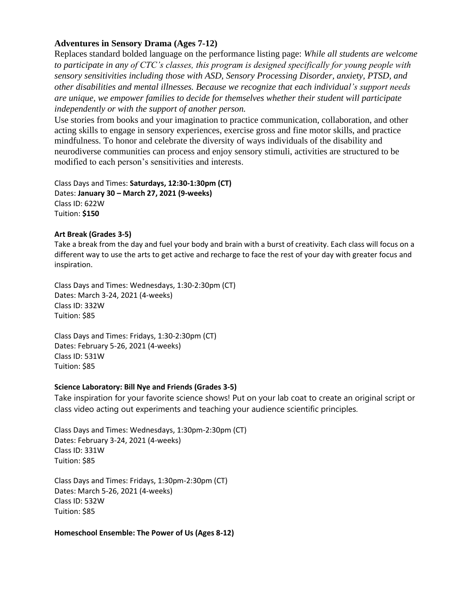## **Adventures in Sensory Drama (Ages 7-12)**

Replaces standard bolded language on the performance listing page: *While all students are welcome* to participate in any of CTC's classes, this program is designed specifically for young people with *b* <sup>1</sup><br>Sensory sensitivities including those with ASD, Sensory Processing Disorder, anxiety, PTSD, and *other disabilities and mental illnesses. Because we recognize that each individual's support needs other disabilities and mental illnesses. Because we recognize that each individual's support needs are unique, we empower families to decide for themselves whether their student will participate independently or with the support of another person.*

Use stories from books and your imagination to practice communication, collaboration, and other acting skills to engage in sensory experiences, exercise gross and fine motor skills, and practice mindfulness. To honor and celebrate the diversity of ways individuals of the disability and neurodiverse communities can process and enjoy sensory stimuli, activities are structured to be modified to each person's sensitivities and interests.

Class Days and Times: **Saturdays, 12:30-1:30pm (CT)** Dates: **January 30 – March 27, 2021 (9-weeks)** Class ID: 622W Tuition: **\$150**

## **Art Break (Grades 3-5)**

Take a break from the day and fuel your body and brain with a burst of creativity. Each class will focus on a different way to use the arts to get active and recharge to face the rest of your day with greater focus and inspiration.

Class Days and Times: Wednesdays, 1:30-2:30pm (CT) Dates: March 3-24, 2021 (4-weeks) Class ID: 332W Tuition: \$85

Class Days and Times: Fridays, 1:30-2:30pm (CT) Dates: February 5-26, 2021 (4-weeks) Class ID: 531W Tuition: \$85

## **Science Laboratory: Bill Nye and Friends (Grades 3-5)**

Take inspiration for your favorite science shows! Put on your lab coat to create an original script or class video acting out experiments and teaching your audience scientific principles.

Class Days and Times: Wednesdays, 1:30pm-2:30pm (CT) Dates: February 3-24, 2021 (4-weeks) Class ID: 331W Tuition: \$85

Class Days and Times: Fridays, 1:30pm-2:30pm (CT) Dates: March 5-26, 2021 (4-weeks) Class ID: 532W Tuition: \$85

## **Homeschool Ensemble: The Power of Us (Ages 8-12)**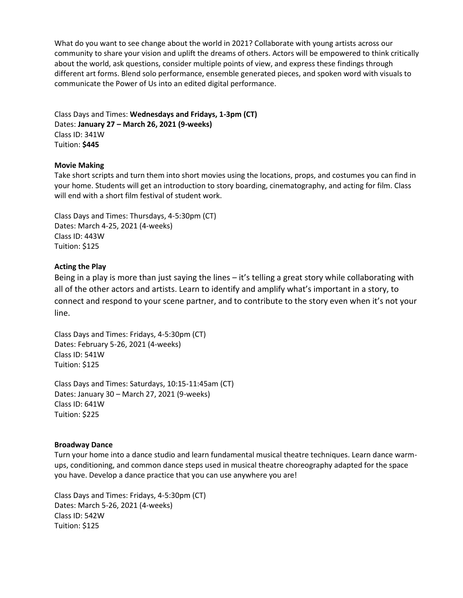What do you want to see change about the world in 2021? Collaborate with young artists across our community to share your vision and uplift the dreams of others. Actors will be empowered to think critically about the world, ask questions, consider multiple points of view, and express these findings through different art forms. Blend solo performance, ensemble generated pieces, and spoken word with visuals to communicate the Power of Us into an edited digital performance.

Class Days and Times: **Wednesdays and Fridays, 1-3pm (CT)** Dates: **January 27 – March 26, 2021 (9-weeks)** Class ID: 341W Tuition: **\$445**

#### **Movie Making**

Take short scripts and turn them into short movies using the locations, props, and costumes you can find in your home. Students will get an introduction to story boarding, cinematography, and acting for film. Class will end with a short film festival of student work.

Class Days and Times: Thursdays, 4-5:30pm (CT) Dates: March 4-25, 2021 (4-weeks) Class ID: 443W Tuition: \$125

#### **Acting the Play**

Being in a play is more than just saying the lines – it's telling a great story while collaborating with all of the other actors and artists. Learn to identify and amplify what's important in a story, to connect and respond to your scene partner, and to contribute to the story even when it's not your line.

Class Days and Times: Fridays, 4-5:30pm (CT) Dates: February 5-26, 2021 (4-weeks) Class ID: 541W Tuition: \$125

Class Days and Times: Saturdays, 10:15-11:45am (CT) Dates: January 30 – March 27, 2021 (9-weeks) Class ID: 641W Tuition: \$225

#### **Broadway Dance**

Turn your home into a dance studio and learn fundamental musical theatre techniques. Learn dance warmups, conditioning, and common dance steps used in musical theatre choreography adapted for the space you have. Develop a dance practice that you can use anywhere you are!

Class Days and Times: Fridays, 4-5:30pm (CT) Dates: March 5-26, 2021 (4-weeks) Class ID: 542W Tuition: \$125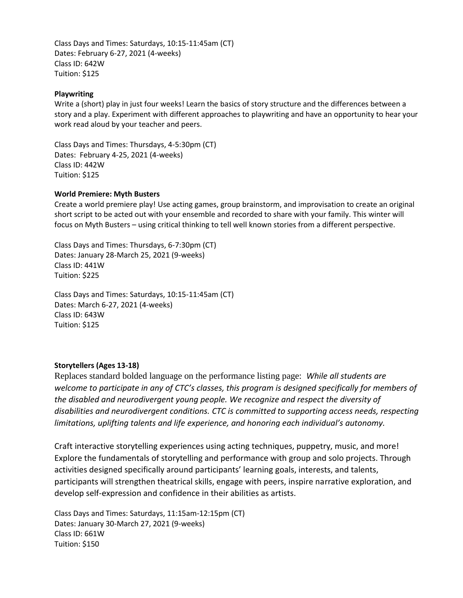Class Days and Times: Saturdays, 10:15-11:45am (CT) Dates: February 6-27, 2021 (4-weeks) Class ID: 642W Tuition: \$125

## **Playwriting**

Write a (short) play in just four weeks! Learn the basics of story structure and the differences between a story and a play. Experiment with different approaches to playwriting and have an opportunity to hear your work read aloud by your teacher and peers.

Class Days and Times: Thursdays, 4-5:30pm (CT) Dates:  February 4-25, 2021 (4-weeks) Class ID: 442W Tuition: \$125

#### **World Premiere: Myth Busters**

Create a world premiere play! Use acting games, group brainstorm, and improvisation to create an original short script to be acted out with your ensemble and recorded to share with your family. This winter will focus on Myth Busters – using critical thinking to tell well known stories from a different perspective.

Class Days and Times: Thursdays, 6-7:30pm (CT) Dates: January 28-March 25, 2021 (9-weeks) Class ID: 441W Tuition: \$225

Class Days and Times: Saturdays, 10:15-11:45am (CT) Dates: March 6-27, 2021 (4-weeks) Class ID: 643W Tuition: \$125

## **Storytellers (Ages 13-18)**

Replaces standard bolded language on the performance listing page: *While all students are welcome to participate in any of CTC's classes, this program is designed specifically for members of the disabled and neurodivergent young people. We recognize and respect the diversity of disabilities and neurodivergent conditions. CTC is committed to supporting access needs, respecting limitations, uplifting talents and life experience, and honoring each individual's autonomy.*

Craft interactive storytelling experiences using acting techniques, puppetry, music, and more! Explore the fundamentals of storytelling and performance with group and solo projects. Through activities designed specifically around participants' learning goals, interests, and talents, participants will strengthen theatrical skills, engage with peers, inspire narrative exploration, and develop self-expression and confidence in their abilities as artists.

Class Days and Times: Saturdays, 11:15am-12:15pm (CT) Dates: January 30-March 27, 2021 (9-weeks) Class ID: 661W Tuition: \$150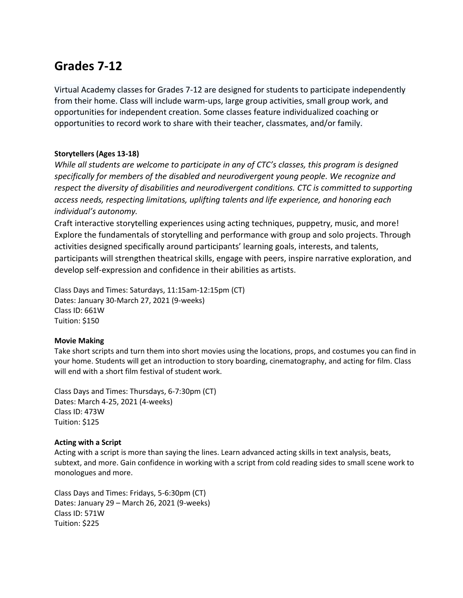# **Grades 7-12**

Virtual Academy classes for Grades 7-12 are designed for students to participate independently from their home. Class will include warm-ups, large group activities, small group work, and opportunities for independent creation. Some classes feature individualized coaching or opportunities to record work to share with their teacher, classmates, and/or family.

## **Storytellers (Ages 13-18)**

*While all students are welcome to participate in any of CTC's classes, this program is designed specifically for members of the disabled and neurodivergent young people. We recognize and respect the diversity of disabilities and neurodivergent conditions. CTC is committed to supporting access needs, respecting limitations, uplifting talents and life experience, and honoring each individual's autonomy.*

Craft interactive storytelling experiences using acting techniques, puppetry, music, and more! Explore the fundamentals of storytelling and performance with group and solo projects. Through activities designed specifically around participants' learning goals, interests, and talents, participants will strengthen theatrical skills, engage with peers, inspire narrative exploration, and develop self-expression and confidence in their abilities as artists.

Class Days and Times: Saturdays, 11:15am-12:15pm (CT) Dates: January 30-March 27, 2021 (9-weeks) Class ID: 661W Tuition: \$150

## **Movie Making**

Take short scripts and turn them into short movies using the locations, props, and costumes you can find in your home. Students will get an introduction to story boarding, cinematography, and acting for film. Class will end with a short film festival of student work.

Class Days and Times: Thursdays, 6-7:30pm (CT) Dates: March 4-25, 2021 (4-weeks) Class ID: 473W Tuition: \$125

## **Acting with a Script**

Acting with a script is more than saying the lines. Learn advanced acting skills in text analysis, beats, subtext, and more. Gain confidence in working with a script from cold reading sides to small scene work to monologues and more.

Class Days and Times: Fridays, 5-6:30pm (CT) Dates: January 29 – March 26, 2021 (9-weeks) Class ID: 571W Tuition: \$225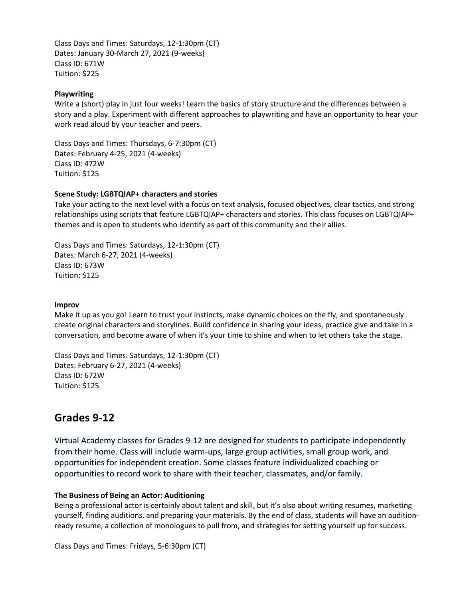Class Days and Times: Saturdays, 12-1:30pm (CT) Dates: January 30-March 27, 2021 (9-weeks) Class ID: 671W Tuition: \$225

### **Playwriting**

Write a (short) play in just four weeks! Learn the basics of story structure and the differences between a story and a play. Experiment with different approaches to playwriting and have an opportunity to hear your work read aloud by your teacher and peers.

Class Days and Times: Thursdays, 6-7:30pm (CT) Dates: February 4-25, 2021 (4-weeks) Class ID: 472W Tuition: \$125

#### **Scene Study: LGBTQIAP+ characters and stories**

Take your acting to the next level with a focus on text analysis, focused objectives, clear tactics, and strong relationships using scripts that feature LGBTQIAP+ characters and stories. This class focuses on LGBTQIAP+ themes and is open to students who identify as part of this community and their allies. 

Class Days and Times: Saturdays, 12-1:30pm (CT) Dates: March 6-27, 2021 (4-weeks) Class ID: 673W Tuition: \$125

#### **Improv**

Make it up as you go! Learn to trust your instincts, make dynamic choices on the fly, and spontaneously create original characters and storylines. Build confidence in sharing your ideas, practice give and take in a conversation, and become aware of when it's your time to shine and when to let others take the stage.

Class Days and Times: Saturdays, 12-1:30pm (CT) Dates: February 6-27, 2021 (4-weeks) Class ID: 672W Tuition: \$125

## **Grades 9-12**

Virtual Academy classes for Grades 9-12 are designed for students to participate independently from their home. Class will include warm-ups, large group activities, small group work, and opportunities for independent creation. Some classes feature individualized coaching or opportunities to record work to share with their teacher, classmates, and/or family.

#### **The Business of Being an Actor: Auditioning**

Being a professional actor is certainly about talent and skill, but it's also about writing resumes, marketing yourself, finding auditions, and preparing your materials. By the end of class, students will have an auditionready resume, a collection of monologues to pull from, and strategies for setting yourself up for success.

Class Days and Times: Fridays, 5-6:30pm (CT)